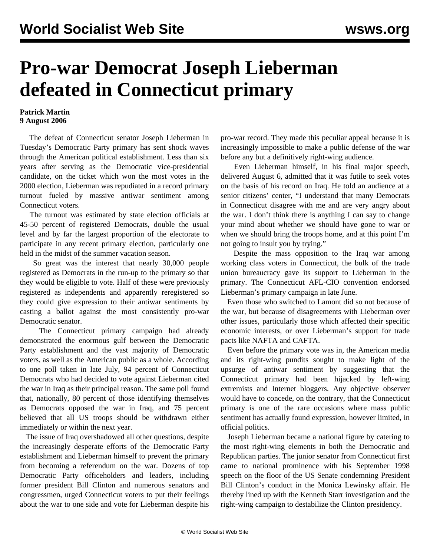## **Pro-war Democrat Joseph Lieberman defeated in Connecticut primary**

## **Patrick Martin 9 August 2006**

 The defeat of Connecticut senator Joseph Lieberman in Tuesday's Democratic Party primary has sent shock waves through the American political establishment. Less than six years after serving as the Democratic vice-presidential candidate, on the ticket which won the most votes in the 2000 election, Lieberman was repudiated in a record primary turnout fueled by massive antiwar sentiment among Connecticut voters.

 The turnout was estimated by state election officials at 45-50 percent of registered Democrats, double the usual level and by far the largest proportion of the electorate to participate in any recent primary election, particularly one held in the midst of the summer vacation season.

 So great was the interest that nearly 30,000 people registered as Democrats in the run-up to the primary so that they would be eligible to vote. Half of these were previously registered as independents and apparently reregistered so they could give expression to their antiwar sentiments by casting a ballot against the most consistently pro-war Democratic senator.

 The Connecticut primary campaign had already demonstrated the enormous gulf between the Democratic Party establishment and the vast majority of Democratic voters, as well as the American public as a whole. According to one poll taken in late July, 94 percent of Connecticut Democrats who had decided to vote against Lieberman cited the war in Iraq as their principal reason. The same poll found that, nationally, 80 percent of those identifying themselves as Democrats opposed the war in Iraq, and 75 percent believed that all US troops should be withdrawn either immediately or within the next year.

 The issue of Iraq overshadowed all other questions, despite the increasingly desperate efforts of the Democratic Party establishment and Lieberman himself to prevent the primary from becoming a referendum on the war. Dozens of top Democratic Party officeholders and leaders, including former president Bill Clinton and numerous senators and congressmen, urged Connecticut voters to put their feelings about the war to one side and vote for Lieberman despite his pro-war record. They made this peculiar appeal because it is increasingly impossible to make a public defense of the war before any but a definitively right-wing audience.

 Even Lieberman himself, in his final major speech, delivered August 6, admitted that it was futile to seek votes on the basis of his record on Iraq. He told an audience at a senior citizens' center, "I understand that many Democrats in Connecticut disagree with me and are very angry about the war. I don't think there is anything I can say to change your mind about whether we should have gone to war or when we should bring the troops home, and at this point I'm not going to insult you by trying."

 Despite the mass opposition to the Iraq war among working class voters in Connecticut, the bulk of the trade union bureaucracy gave its support to Lieberman in the primary. The Connecticut AFL-CIO convention endorsed Lieberman's primary campaign in late June.

 Even those who switched to Lamont did so not because of the war, but because of disagreements with Lieberman over other issues, particularly those which affected their specific economic interests, or over Lieberman's support for trade pacts like NAFTA and CAFTA.

 Even before the primary vote was in, the American media and its right-wing pundits sought to make light of the upsurge of antiwar sentiment by suggesting that the Connecticut primary had been hijacked by left-wing extremists and Internet bloggers. Any objective observer would have to concede, on the contrary, that the Connecticut primary is one of the rare occasions where mass public sentiment has actually found expression, however limited, in official politics.

 Joseph Lieberman became a national figure by catering to the most right-wing elements in both the Democratic and Republican parties. The junior senator from Connecticut first came to national prominence with his September 1998 speech on the floor of the US Senate condemning President Bill Clinton's conduct in the Monica Lewinsky affair. He thereby lined up with the Kenneth Starr investigation and the right-wing campaign to destabilize the Clinton presidency.